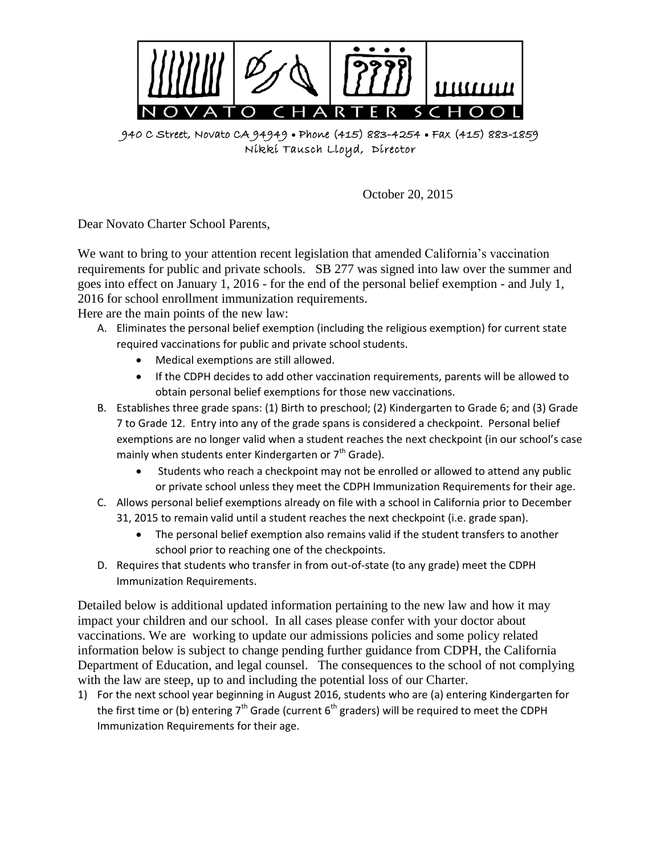

940 C Street, Novato CA 94949 Phone (415) 883-4254 Fax (415) 883-1859 Nikki Tausch Lloyd, Director

October 20, 2015

Dear Novato Charter School Parents,

We want to bring to your attention recent legislation that amended California's vaccination requirements for public and private schools. SB 277 was signed into law over the summer and goes into effect on January 1, 2016 - for the end of the personal belief exemption - and July 1, 2016 for school enrollment immunization requirements.

Here are the main points of the new law:

- A. Eliminates the personal belief exemption (including the religious exemption) for current state required vaccinations for public and private school students.
	- Medical exemptions are still allowed.
	- If the CDPH decides to add other vaccination requirements, parents will be allowed to obtain personal belief exemptions for those new vaccinations.
- B. Establishes three grade spans: (1) Birth to preschool; (2) Kindergarten to Grade 6; and (3) Grade 7 to Grade 12. Entry into any of the grade spans is considered a checkpoint. Personal belief exemptions are no longer valid when a student reaches the next checkpoint (in our school's case mainly when students enter Kindergarten or  $7<sup>th</sup>$  Grade).
	- Students who reach a checkpoint may not be enrolled or allowed to attend any public or private school unless they meet the CDPH Immunization Requirements for their age.
- C. Allows personal belief exemptions already on file with a school in California prior to December 31, 2015 to remain valid until a student reaches the next checkpoint (i.e. grade span).
	- The personal belief exemption also remains valid if the student transfers to another school prior to reaching one of the checkpoints.
- D. Requires that students who transfer in from out-of-state (to any grade) meet the CDPH Immunization Requirements.

Detailed below is additional updated information pertaining to the new law and how it may impact your children and our school. In all cases please confer with your doctor about vaccinations. We are working to update our admissions policies and some policy related information below is subject to change pending further guidance from CDPH, the California Department of Education, and legal counsel. The consequences to the school of not complying with the law are steep, up to and including the potential loss of our Charter.

1) For the next school year beginning in August 2016, students who are (a) entering Kindergarten for the first time or (b) entering 7<sup>th</sup> Grade (current 6<sup>th</sup> graders) will be required to meet the CDPH Immunization Requirements for their age.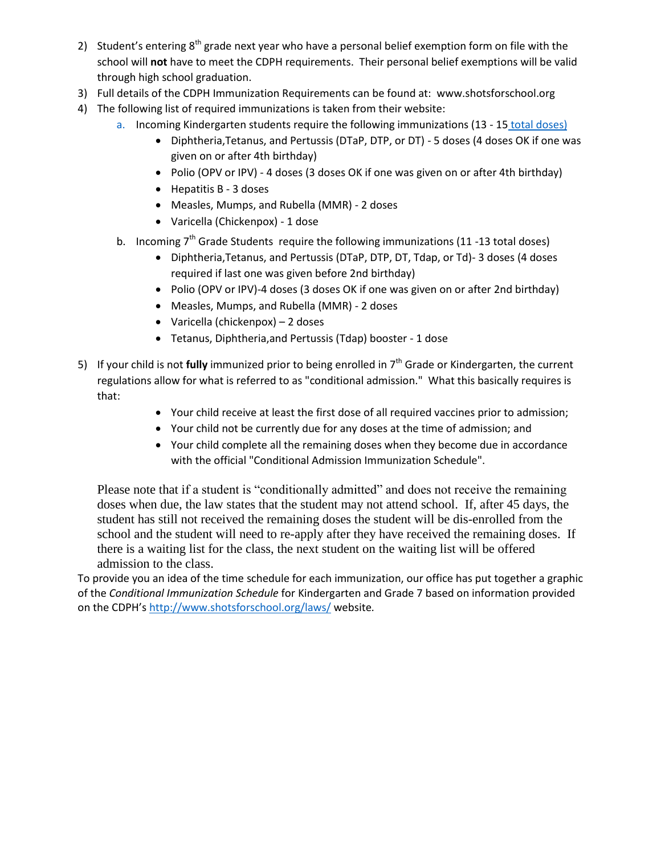- 2) Student's entering  $8<sup>th</sup>$  grade next year who have a personal belief exemption form on file with the school will **not** have to meet the CDPH requirements. Their personal belief exemptions will be valid through high school graduation.
- 3) Full details of the CDPH Immunization Requirements can be found at: [www.shotsforschool.org](http://www.shotsforschool.org/)
- 4) The following list of required immunizations is taken from their website:
	- a. Incoming Kindergarten students require the following immunizations (13 15 total doses)
		- Diphtheria,Tetanus, and Pertussis (DTaP, DTP, or DT) 5 doses (4 doses OK if one was given on or after 4th birthday)
		- Polio (OPV or IPV) 4 doses (3 doses OK if one was given on or after 4th birthday)
		- Hepatitis B 3 doses
		- Measles, Mumps, and Rubella (MMR) 2 doses
		- Varicella (Chickenpox) 1 dose
	- b. Incoming  $7<sup>th</sup>$  Grade Students require the following immunizations (11 -13 total doses)
		- Diphtheria, Tetanus, and Pertussis (DTaP, DTP, DT, Tdap, or Td)-3 doses (4 doses required if last one was given before 2nd birthday)
		- Polio (OPV or IPV)-4 doses (3 doses OK if one was given on or after 2nd birthday)
		- Measles, Mumps, and Rubella (MMR) 2 doses
		- Varicella (chickenpox) 2 doses
		- Tetanus, Diphtheria,and Pertussis (Tdap) booster 1 dose
- 5) If your child is not **fully** immunized prior to being enrolled in 7<sup>th</sup> Grade or Kindergarten, the current regulations allow for what is referred to as "conditional admission." What this basically requires is that:
	- Your child receive at least the first dose of all required vaccines prior to admission;
	- Your child not be currently due for any doses at the time of admission; and
	- Your child complete all the remaining doses when they become due in accordance with the official "Conditional Admission Immunization Schedule".

Please note that if a student is "conditionally admitted" and does not receive the remaining doses when due, the law states that the student may not attend school. If, after 45 days, the student has still not received the remaining doses the student will be dis-enrolled from the school and the student will need to re-apply after they have received the remaining doses. If there is a waiting list for the class, the next student on the waiting list will be offered admission to the class.

To provide you an idea of the time schedule for each immunization, our office has put together a graphic of the *Conditional Immunization Schedule* for Kindergarten and Grade 7 based on information provided on the CDPH's <http://www.shotsforschool.org/laws/> website*.*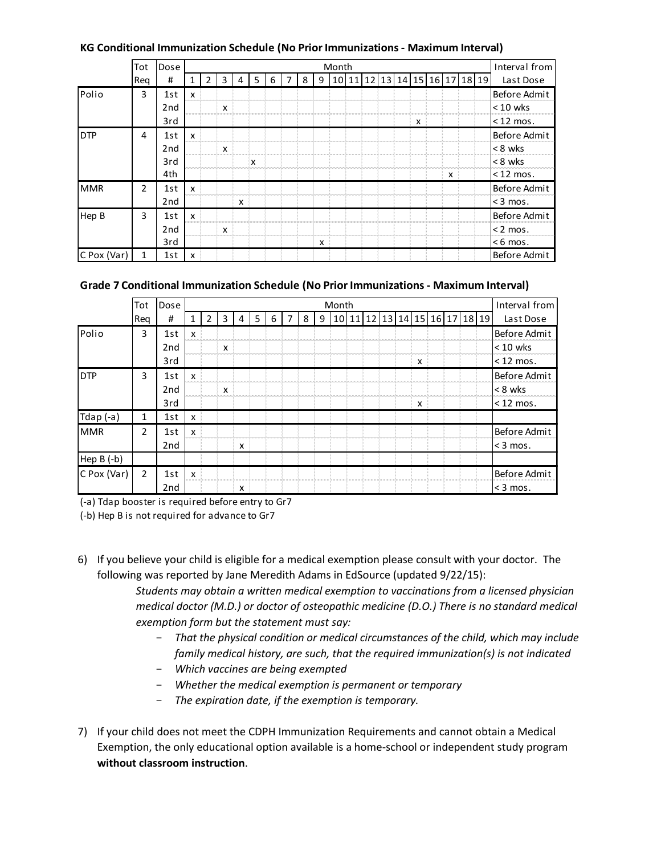| KG Conditional Immunization Schedule (No Prior Immunizations - Maximum Interval) |                |                 |              |   |   |   |             |   |  |   |   |  |  |  |               |   |                               |  |              |
|----------------------------------------------------------------------------------|----------------|-----------------|--------------|---|---|---|-------------|---|--|---|---|--|--|--|---------------|---|-------------------------------|--|--------------|
|                                                                                  | Tot            | Dose<br>Month   |              |   |   |   |             |   |  |   |   |  |  |  | Interval from |   |                               |  |              |
|                                                                                  | Rea            | #               |              | 2 | 3 | 4 | 5           | 6 |  | 8 | 9 |  |  |  |               |   | 10 11 12 13 14 15 16 17 18 19 |  | Last Dose    |
| Polio                                                                            | 3              | 1st             | x            |   |   |   |             |   |  |   |   |  |  |  |               |   |                               |  | Before Admit |
|                                                                                  |                | 2 <sub>nd</sub> |              |   | X |   |             |   |  |   |   |  |  |  |               |   |                               |  | $< 10$ wks   |
|                                                                                  |                | 3rd             |              |   |   |   |             |   |  |   |   |  |  |  |               | x |                               |  | $<$ 12 mos.  |
| <b>DTP</b>                                                                       | 4              | 1st             | $\mathsf{x}$ |   |   |   |             |   |  |   |   |  |  |  |               |   |                               |  | Before Admit |
|                                                                                  |                | 2 <sub>nd</sub> |              |   | x |   |             |   |  |   |   |  |  |  |               |   |                               |  | < 8 wks      |
|                                                                                  |                | 3rd             |              |   |   |   | $\mathbf x$ |   |  |   |   |  |  |  |               |   |                               |  | < 8 wks      |
|                                                                                  |                | 4th             |              |   |   |   |             |   |  |   |   |  |  |  |               |   | x                             |  | $<$ 12 mos.  |
| <b>MMR</b>                                                                       | $\overline{2}$ | 1st             | X            |   |   |   |             |   |  |   |   |  |  |  |               |   |                               |  | Before Admit |
|                                                                                  |                | 2 <sub>nd</sub> |              |   |   | x |             |   |  |   |   |  |  |  |               |   |                               |  | $<$ 3 mos.   |
| Hep B                                                                            | 3              | 1st             | X            |   |   |   |             |   |  |   |   |  |  |  |               |   |                               |  | Before Admit |
|                                                                                  |                | 2 <sub>nd</sub> |              |   | X |   |             |   |  |   |   |  |  |  |               |   |                               |  | $< 2$ mos.   |
|                                                                                  |                | 3rd             |              |   |   |   |             |   |  |   | x |  |  |  |               |   |                               |  | $< 6$ mos.   |
| C Pox (Var)                                                                      | 1              | 1st             | x            |   |   |   |             |   |  |   |   |  |  |  |               |   |                               |  | Before Admit |

|             | Tot            | Dose            | Month        |   |              |   |   |   |   |   |   |  |  |  |                               |  |   | Interval from |  |              |
|-------------|----------------|-----------------|--------------|---|--------------|---|---|---|---|---|---|--|--|--|-------------------------------|--|---|---------------|--|--------------|
|             | Rea            | #               | $\mathbf{1}$ | 2 | 3            | 4 | 5 | 6 | 7 | 8 | 9 |  |  |  | 10 11 12 13 14 15 16 17 18 19 |  |   |               |  | Last Dose    |
| Polio       | 3              | 1st             | x            |   |              |   |   |   |   |   |   |  |  |  |                               |  |   |               |  | Before Admit |
|             |                | 2 <sub>nd</sub> |              |   | $\mathsf{x}$ |   |   |   |   |   |   |  |  |  |                               |  |   |               |  | $< 10$ wks   |
|             |                | 3rd             |              |   |              |   |   |   |   |   |   |  |  |  |                               |  | x |               |  | $<$ 12 mos.  |
| <b>DTP</b>  | 3              | 1st             | x            |   |              |   |   |   |   |   |   |  |  |  |                               |  |   |               |  | Before Admit |
|             |                | 2 <sub>nd</sub> |              |   | x            |   |   |   |   |   |   |  |  |  |                               |  |   |               |  | $< 8$ wks    |
|             |                | 3rd             |              |   |              |   |   |   |   |   |   |  |  |  |                               |  | X |               |  | $<$ 12 mos.  |
| Tdap $(-a)$ | 1              | 1st             | x            |   |              |   |   |   |   |   |   |  |  |  |                               |  |   |               |  |              |
| <b>MMR</b>  | $\overline{2}$ | 1st             | X            |   |              |   |   |   |   |   |   |  |  |  |                               |  |   |               |  | Before Admit |
|             |                | 2 <sub>nd</sub> |              |   |              | X |   |   |   |   |   |  |  |  |                               |  |   |               |  | $<$ 3 mos.   |
| Hep B (-b)  |                |                 |              |   |              |   |   |   |   |   |   |  |  |  |                               |  |   |               |  |              |
| C Pox (Var) | 2              | 1st             | X            |   |              |   |   |   |   |   |   |  |  |  |                               |  |   |               |  | Before Admit |
|             |                | 2 <sub>nd</sub> |              |   |              | X |   |   |   |   |   |  |  |  |                               |  |   |               |  | $<$ 3 mos.   |

(-a) Tdap booster is required before entry to Gr7

(-b) Hep B is not required for advance to Gr7

6) If you believe your child is eligible for a medical exemption please consult with your doctor. The following was reported by Jane Meredith Adams in EdSource (updated 9/22/15):

> *Students may obtain a written medical exemption to vaccinations from a licensed physician medical doctor (M.D.) or doctor of osteopathic medicine (D.O.) There is no standard medical exemption form but the statement must say:*

- *That the physical condition or medical circumstances of the child, which may include family medical history, are such, that the required immunization(s) is not indicated*
- *Which vaccines are being exempted*
- *Whether the medical exemption is permanent or temporary*
- *The expiration date, if the exemption is temporary.*
- 7) If your child does not meet the CDPH Immunization Requirements and cannot obtain a Medical Exemption, the only educational option available is a home-school or independent study program **without classroom instruction**.